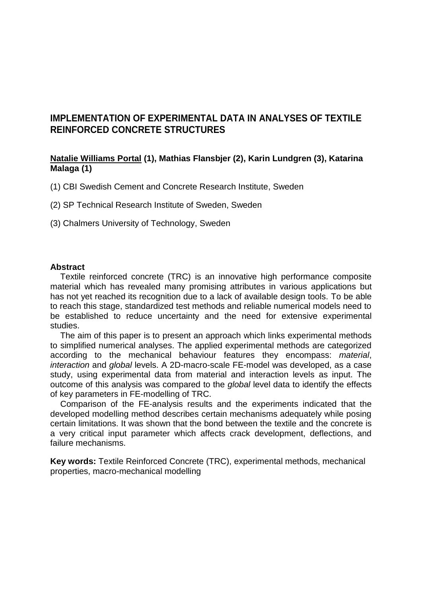# **IMPLEMENTATION OF EXPERIMENTAL DATA IN ANALYSES OF TEXTILE REINFORCED CONCRETE STRUCTURES**

### **Natalie Williams Portal (1), Mathias Flansbjer (2), Karin Lundgren (3), Katarina Malaga (1)**

(1) CBI Swedish Cement and Concrete Research Institute, Sweden

- (2) SP Technical Research Institute of Sweden, Sweden
- (3) Chalmers University of Technology, Sweden

#### **Abstract**

Textile reinforced concrete (TRC) is an innovative high performance composite material which has revealed many promising attributes in various applications but has not yet reached its recognition due to a lack of available design tools. To be able to reach this stage, standardized test methods and reliable numerical models need to be established to reduce uncertainty and the need for extensive experimental studies.

The aim of this paper is to present an approach which links experimental methods to simplified numerical analyses. The applied experimental methods are categorized according to the mechanical behaviour features they encompass: *material*, *interaction* and *global* levels. A 2D-macro-scale FE-model was developed, as a case study, using experimental data from material and interaction levels as input. The outcome of this analysis was compared to the *global* level data to identify the effects of key parameters in FE-modelling of TRC.

Comparison of the FE-analysis results and the experiments indicated that the developed modelling method describes certain mechanisms adequately while posing certain limitations. It was shown that the bond between the textile and the concrete is a very critical input parameter which affects crack development, deflections, and failure mechanisms.

**Key words:** Textile Reinforced Concrete (TRC), experimental methods, mechanical properties, macro-mechanical modelling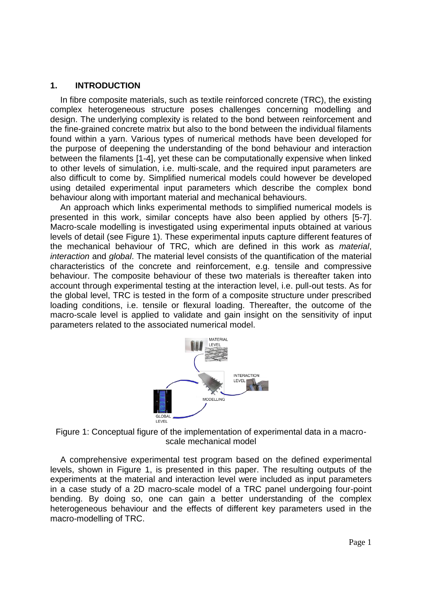### **1. INTRODUCTION**

In fibre composite materials, such as textile reinforced concrete (TRC), the existing complex heterogeneous structure poses challenges concerning modelling and design. The underlying complexity is related to the bond between reinforcement and the fine-grained concrete matrix but also to the bond between the individual filaments found within a yarn. Various types of numerical methods have been developed for the purpose of deepening the understanding of the bond behaviour and interaction between the filaments [\[1-4\]](#page-8-0), yet these can be computationally expensive when linked to other levels of simulation, i.e. multi-scale, and the required input parameters are also difficult to come by. Simplified numerical models could however be developed using detailed experimental input parameters which describe the complex bond behaviour along with important material and mechanical behaviours.

An approach which links experimental methods to simplified numerical models is presented in this work, similar concepts have also been applied by others [\[5-7\]](#page-8-1). Macro-scale modelling is investigated using experimental inputs obtained at various levels of detail (see [Figure 1\)](#page-1-0). These experimental inputs capture different features of the mechanical behaviour of TRC, which are defined in this work as *material*, *interaction* and *global*. The material level consists of the quantification of the material characteristics of the concrete and reinforcement, e.g. tensile and compressive behaviour. The composite behaviour of these two materials is thereafter taken into account through experimental testing at the interaction level, i.e. pull-out tests. As for the global level, TRC is tested in the form of a composite structure under prescribed loading conditions, i.e. tensile or flexural loading. Thereafter, the outcome of the macro-scale level is applied to validate and gain insight on the sensitivity of input parameters related to the associated numerical model.



<span id="page-1-0"></span>Figure 1: Conceptual figure of the implementation of experimental data in a macroscale mechanical model

A comprehensive experimental test program based on the defined experimental levels, shown in [Figure 1,](#page-1-0) is presented in this paper. The resulting outputs of the experiments at the material and interaction level were included as input parameters in a case study of a 2D macro-scale model of a TRC panel undergoing four-point bending. By doing so, one can gain a better understanding of the complex heterogeneous behaviour and the effects of different key parameters used in the macro-modelling of TRC.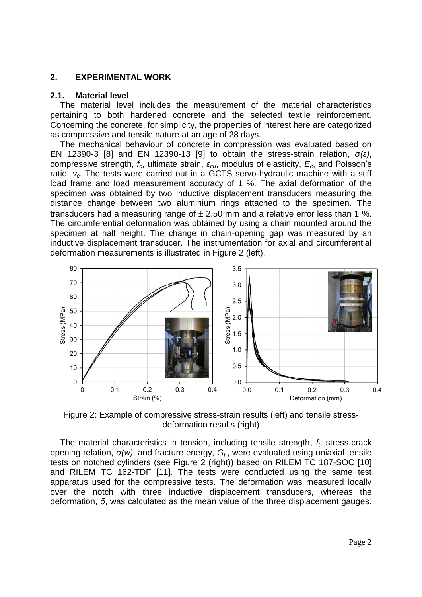#### **2. EXPERIMENTAL WORK**

#### **2.1. Material level**

The material level includes the measurement of the material characteristics pertaining to both hardened concrete and the selected textile reinforcement. Concerning the concrete, for simplicity, the properties of interest here are categorized as compressive and tensile nature at an age of 28 days.

The mechanical behaviour of concrete in compression was evaluated based on EN 12390-3 [\[8\]](#page-8-2) and EN 12390-13 [\[9\]](#page-8-3) to obtain the stress-strain relation, *σ(ε)*, compressive strength, *fc*, ultimate strain, *εcu*, modulus of elasticity, *Ec*, and Poisson's ratio, *νc*. The tests were carried out in a GCTS servo-hydraulic machine with a stiff load frame and load measurement accuracy of 1 %. The axial deformation of the specimen was obtained by two inductive displacement transducers measuring the distance change between two aluminium rings attached to the specimen. The transducers had a measuring range of  $\pm$  2.50 mm and a relative error less than 1 %. The circumferential deformation was obtained by using a chain mounted around the specimen at half height. The change in chain-opening gap was measured by an inductive displacement transducer. The instrumentation for axial and circumferential deformation measurements is illustrated in [Figure 2](#page-2-0) (left).



<span id="page-2-0"></span>Figure 2: Example of compressive stress-strain results (left) and tensile stressdeformation results (right)

The material characteristics in tension, including tensile strength, *ft*, stress-crack opening relation, *σ(w)*, and fracture energy, *GF*, were evaluated using uniaxial tensile tests on notched cylinders (see [Figure 2](#page-2-0) (right)) based on RILEM TC 187-SOC [\[10\]](#page-8-4) and RILEM TC 162-TDF [\[11\]](#page-8-5). The tests were conducted using the same test apparatus used for the compressive tests. The deformation was measured locally over the notch with three inductive displacement transducers, whereas the deformation, *δ*, was calculated as the mean value of the three displacement gauges.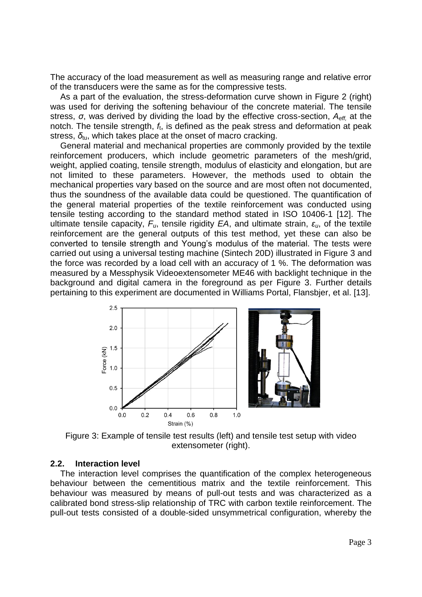The accuracy of the load measurement as well as measuring range and relative error of the transducers were the same as for the compressive tests.

As a part of the evaluation, the stress-deformation curve shown in [Figure 2](#page-2-0) (right) was used for deriving the softening behaviour of the concrete material. The tensile stress, *σ*, was derived by dividing the load by the effective cross-section, *Aeff,* at the notch. The tensile strength, *f*t, is defined as the peak stress and deformation at peak stress, *δ*tu, which takes place at the onset of macro cracking.

General material and mechanical properties are commonly provided by the textile reinforcement producers, which include geometric parameters of the mesh/grid, weight, applied coating, tensile strength, modulus of elasticity and elongation, but are not limited to these parameters. However, the methods used to obtain the mechanical properties vary based on the source and are most often not documented, thus the soundness of the available data could be questioned. The quantification of the general material properties of the textile reinforcement was conducted using tensile testing according to the standard method stated in [ISO 10406-1 \[12\]](#page-8-6). The ultimate tensile capacity, *Fu*, tensile rigidity *EA*, and ultimate strain, *εu*, of the textile reinforcement are the general outputs of this test method, yet these can also be converted to tensile strength and Young's modulus of the material. The tests were carried out using a universal testing machine (Sintech 20D) illustrated in [Figure 3](#page-3-0) and the force was recorded by a load cell with an accuracy of 1 %. The deformation was measured by a Messphysik Videoextensometer ME46 with backlight technique in the background and digital camera in the foreground as per [Figure 3.](#page-3-0) Further details pertaining to this experiment are documented in [Williams Portal, Flansbjer, et al. \[13\]](#page-8-7).



<span id="page-3-0"></span>Figure 3: Example of tensile test results (left) and tensile test setup with video extensometer (right).

#### **2.2. Interaction level**

The interaction level comprises the quantification of the complex heterogeneous behaviour between the cementitious matrix and the textile reinforcement. This behaviour was measured by means of pull-out tests and was characterized as a calibrated bond stress-slip relationship of TRC with carbon textile reinforcement. The pull-out tests consisted of a double-sided unsymmetrical configuration, whereby the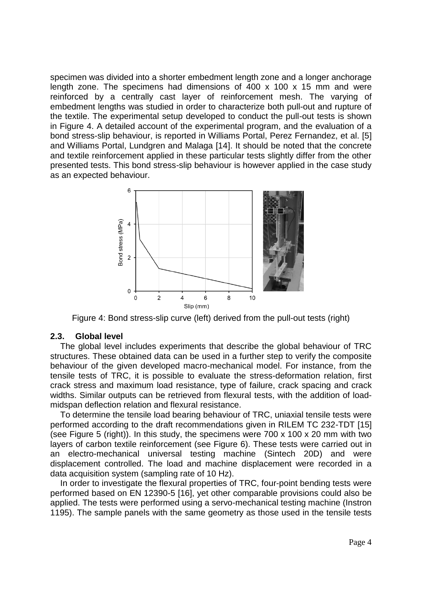specimen was divided into a shorter embedment length zone and a longer anchorage length zone. The specimens had dimensions of 400 x 100 x 15 mm and were reinforced by a centrally cast layer of reinforcement mesh. The varying of embedment lengths was studied in order to characterize both pull-out and rupture of the textile. The experimental setup developed to conduct the pull-out tests is shown in [Figure 4.](#page-4-0) A detailed account of the experimental program, and the evaluation of a bond stress-slip behaviour, is reported in [Williams Portal, Perez Fernandez, et al. \[5\]](#page-8-1) and [Williams Portal, Lundgren and Malaga \[14\]](#page-8-8). It should be noted that the concrete and textile reinforcement applied in these particular tests slightly differ from the other presented tests. This bond stress-slip behaviour is however applied in the case study as an expected behaviour.



Figure 4: Bond stress-slip curve (left) derived from the pull-out tests (right)

### <span id="page-4-0"></span>**2.3. Global level**

The global level includes experiments that describe the global behaviour of TRC structures. These obtained data can be used in a further step to verify the composite behaviour of the given developed macro-mechanical model. For instance, from the tensile tests of TRC, it is possible to evaluate the stress-deformation relation, first crack stress and maximum load resistance, type of failure, crack spacing and crack widths. Similar outputs can be retrieved from flexural tests, with the addition of loadmidspan deflection relation and flexural resistance.

To determine the tensile load bearing behaviour of TRC, uniaxial tensile tests were performed according to the draft recommendations given in RILEM TC 232-TDT [\[15\]](#page-8-9) (see [Figure 5](#page-5-0) (right)). In this study, the specimens were 700 x 100 x 20 mm with two layers of carbon textile reinforcement (see [Figure 6\)](#page-6-0). These tests were carried out in an electro-mechanical universal testing machine (Sintech 20D) and were displacement controlled. The load and machine displacement were recorded in a data acquisition system (sampling rate of 10 Hz).

In order to investigate the flexural properties of TRC, four-point bending tests were performed based on EN 12390-5 [\[16\]](#page-8-10), yet other comparable provisions could also be applied. The tests were performed using a servo-mechanical testing machine (Instron 1195). The sample panels with the same geometry as those used in the tensile tests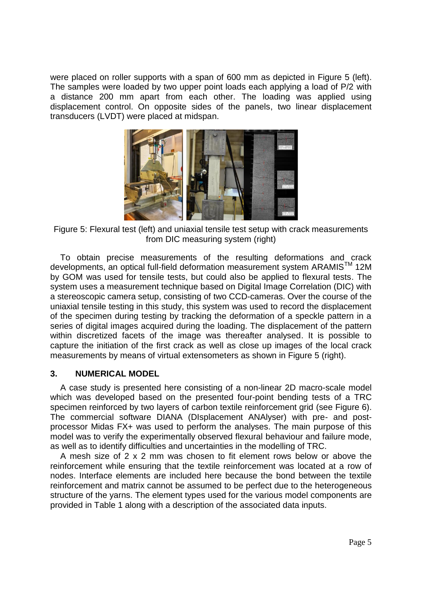were placed on roller supports with a span of 600 mm as depicted in [Figure 5](#page-5-0) (left). The samples were loaded by two upper point loads each applying a load of P/2 with a distance 200 mm apart from each other. The loading was applied using displacement control. On opposite sides of the panels, two linear displacement transducers (LVDT) were placed at midspan.



Figure 5: Flexural test (left) and uniaxial tensile test setup with crack measurements from DIC measuring system (right)

<span id="page-5-0"></span>To obtain precise measurements of the resulting deformations and crack developments, an optical full-field deformation measurement system ARAMIS<sup>™</sup> 12M by GOM was used for tensile tests, but could also be applied to flexural tests. The system uses a measurement technique based on Digital Image Correlation (DIC) with a stereoscopic camera setup, consisting of two CCD-cameras. Over the course of the uniaxial tensile testing in this study, this system was used to record the displacement of the specimen during testing by tracking the deformation of a speckle pattern in a series of digital images acquired during the loading. The displacement of the pattern within discretized facets of the image was thereafter analysed. It is possible to capture the initiation of the first crack as well as close up images of the local crack measurements by means of virtual extensometers as shown in [Figure 5](#page-5-0) (right).

### **3. NUMERICAL MODEL**

A case study is presented here consisting of a non-linear 2D macro-scale model which was developed based on the presented four-point bending tests of a TRC specimen reinforced by two layers of carbon textile reinforcement grid (see [Figure 6\)](#page-6-0). The commercial software DIANA (DIsplacement ANAlyser) with pre- and postprocessor Midas FX+ was used to perform the analyses. The main purpose of this model was to verify the experimentally observed flexural behaviour and failure mode, as well as to identify difficulties and uncertainties in the modelling of TRC.

A mesh size of 2 x 2 mm was chosen to fit element rows below or above the reinforcement while ensuring that the textile reinforcement was located at a row of nodes. Interface elements are included here because the bond between the textile reinforcement and matrix cannot be assumed to be perfect due to the heterogeneous structure of the yarns. The element types used for the various model components are provided in [Table 1](#page-6-1) along with a description of the associated data inputs.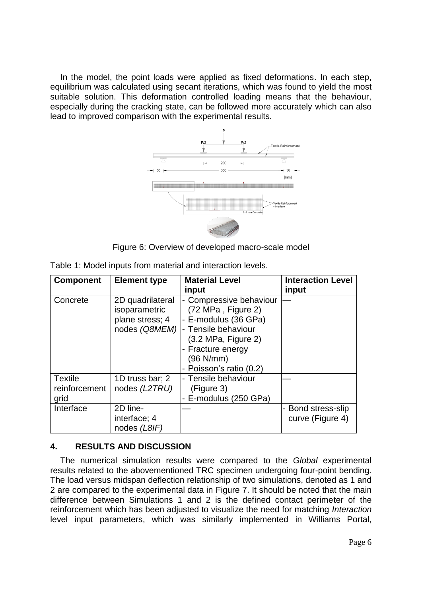In the model, the point loads were applied as fixed deformations. In each step, equilibrium was calculated using secant iterations, which was found to yield the most suitable solution. This deformation controlled loading means that the behaviour, especially during the cracking state, can be followed more accurately which can also lead to improved comparison with the experimental results.



Figure 6: Overview of developed macro-scale model

<span id="page-6-1"></span><span id="page-6-0"></span>

| <b>Component</b>                        | <b>Element type</b>                                                   | <b>Material Level</b>                                                                                                                                                                             | <b>Interaction Level</b>             |
|-----------------------------------------|-----------------------------------------------------------------------|---------------------------------------------------------------------------------------------------------------------------------------------------------------------------------------------------|--------------------------------------|
|                                         |                                                                       | input                                                                                                                                                                                             | input                                |
| Concrete                                | 2D quadrilateral<br>isoparametric<br>plane stress; 4<br>nodes (Q8MEM) | - Compressive behaviour<br>(72 MPa, Figure 2)<br>- E-modulus (36 GPa)<br>- Tensile behaviour<br>$(3.2 \text{ MPa}, \text{Figure 2})$<br>- Fracture energy<br>(96 N/mm)<br>- Poisson's ratio (0.2) |                                      |
| <b>Textile</b><br>reinforcement<br>grid | 1D truss bar; 2<br>nodes (L2TRU)                                      | - Tensile behaviour<br>(Figure 3)<br>- E-modulus (250 GPa)                                                                                                                                        |                                      |
| Interface                               | 2D line-<br>interface; 4<br>nodes (L8IF)                              |                                                                                                                                                                                                   | Bond stress-slip<br>curve (Figure 4) |

## **4. RESULTS AND DISCUSSION**

The numerical simulation results were compared to the *Global* experimental results related to the abovementioned TRC specimen undergoing four-point bending. The load versus midspan deflection relationship of two simulations, denoted as 1 and 2 are compared to the experimental data in [Figure 7.](#page-7-0) It should be noted that the main difference between Simulations 1 and 2 is the defined contact perimeter of the reinforcement which has been adjusted to visualize the need for matching *Interaction* level input parameters, which was similarly implemented in [Williams Portal,](#page-8-11)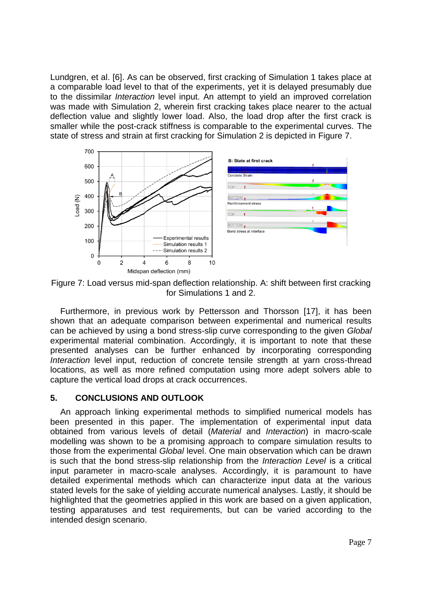[Lundgren, et al. \[6\]](#page-8-11). As can be observed, first cracking of Simulation 1 takes place at a comparable load level to that of the experiments, yet it is delayed presumably due to the dissimilar *Interaction* level input. An attempt to yield an improved correlation was made with Simulation 2, wherein first cracking takes place nearer to the actual deflection value and slightly lower load. Also, the load drop after the first crack is smaller while the post-crack stiffness is comparable to the experimental curves. The state of stress and strain at first cracking for Simulation 2 is depicted in [Figure 7.](#page-7-0)



<span id="page-7-0"></span>Figure 7: Load versus mid-span deflection relationship. A: shift between first cracking for Simulations 1 and 2.

Furthermore, in previous work by [Pettersson and Thorsson \[17\]](#page-8-12), it has been shown that an adequate comparison between experimental and numerical results can be achieved by using a bond stress-slip curve corresponding to the given *Global* experimental material combination. Accordingly, it is important to note that these presented analyses can be further enhanced by incorporating corresponding *Interaction* level input, reduction of concrete tensile strength at yarn cross-thread locations, as well as more refined computation using more adept solvers able to capture the vertical load drops at crack occurrences.

### **5. CONCLUSIONS AND OUTLOOK**

An approach linking experimental methods to simplified numerical models has been presented in this paper. The implementation of experimental input data obtained from various levels of detail (*Material* and *Interaction*) in macro-scale modelling was shown to be a promising approach to compare simulation results to those from the experimental *Global* level. One main observation which can be drawn is such that the bond stress-slip relationship from the *Interaction Level* is a critical input parameter in macro-scale analyses. Accordingly, it is paramount to have detailed experimental methods which can characterize input data at the various stated levels for the sake of yielding accurate numerical analyses. Lastly, it should be highlighted that the geometries applied in this work are based on a given application, testing apparatuses and test requirements, but can be varied according to the intended design scenario.